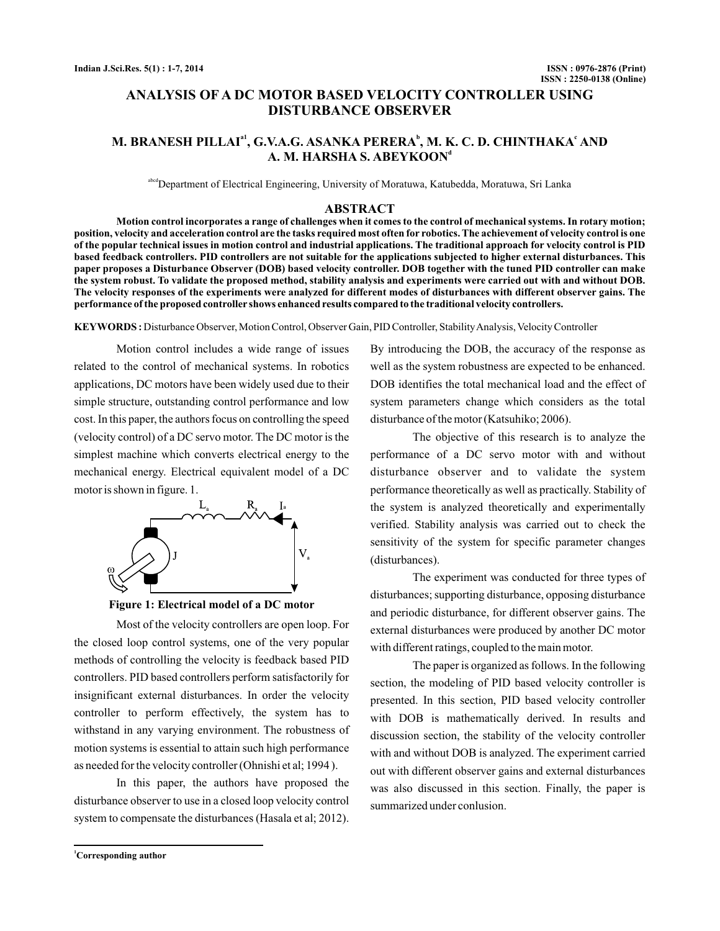# **ANALYSIS OF A DC MOTOR BASED VELOCITY CONTROLLER USING DISTURBANCE OBSERVER**

# M. BRANESH PILLAIª<sup>1</sup>, G.V.A.G. ASANKA PERERA<sup>b</sup>, M. K. C. D. CHINTHAKAʿAND **A. M. HARSHA S. ABEYKOON d**

<sup>abcd</sup>Department of Electrical Engineering, University of Moratuwa, Katubedda, Moratuwa, Sri Lanka

### **ABSTRACT**

**Motion control incorporates a range of challenges when it comes to the control of mechanical systems. In rotary motion; position, velocity and acceleration control are the tasks required most often for robotics. The achievement of velocity control is one of the popular technical issues in motion control and industrial applications. The traditional approach for velocity control is PID based feedback controllers. PID controllers are not suitable for the applications subjected to higher external disturbances. This paper proposes a Disturbance Observer (DOB) based velocity controller. DOB together with the tuned PID controller can make the system robust. To validate the proposed method, stability analysis and experiments were carried out with and without DOB. The velocity responses of the experiments were analyzed for different modes of disturbances with different observer gains. The performance of the proposed controller shows enhanced results compared to the traditional velocity controllers.**

KEYWORDS : Disturbance Observer, Motion Control, Observer Gain, PID Controller, Stability Analysis, Velocity Controller

Motion control includes a wide range of issues related to the control of mechanical systems. In robotics applications, DC motors have been widely used due to their simple structure, outstanding control performance and low cost. In this paper, the authors focus on controlling the speed (velocity control) of a DC servo motor. The DC motor is the simplest machine which converts electrical energy to the mechanical energy. Electrical equivalent model of a DC motor is shown in figure. 1.





Most of the velocity controllers are open loop. For the closed loop control systems, one of the very popular methods of controlling the velocity is feedback based PID controllers. PID based controllers perform satisfactorily for insignificant external disturbances. In order the velocity controller to perform effectively, the system has to withstand in any varying environment. The robustness of motion systems is essential to attain such high performance as needed for the velocity controller (Ohnishi et al; 1994 ).

In this paper, the authors have proposed the disturbance observer to use in a closed loop velocity control system to compensate the disturbances (Hasala et al; 2012).

By introducing the DOB, the accuracy of the response as well as the system robustness are expected to be enhanced. DOB identifies the total mechanical load and the effect of system parameters change which considers as the total disturbance of the motor (Katsuhiko; 2006).

The objective of this research is to analyze the performance of a DC servo motor with and without disturbance observer and to validate the system performance theoretically as well as practically. Stability of the system is analyzed theoretically and experimentally verified. Stability analysis was carried out to check the sensitivity of the system for specific parameter changes (disturbances).

The experiment was conducted for three types of disturbances; supporting disturbance, opposing disturbance and periodic disturbance, for different observer gains. The external disturbances were produced by another DC motor with different ratings, coupled to the main motor.

The paper is organized as follows. In the following section, the modeling of PID based velocity controller is presented. In this section, PID based velocity controller with DOB is mathematically derived. In results and discussion section, the stability of the velocity controller with and without DOB is analyzed. The experiment carried out with different observer gains and external disturbances was also discussed in this section. Finally, the paper is summarized under conlusion.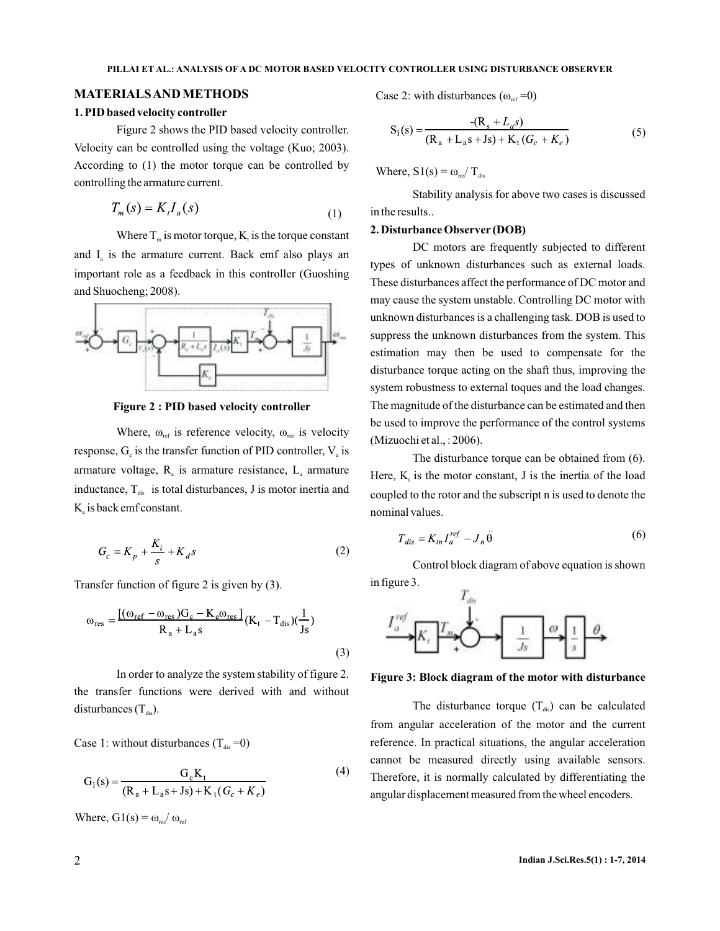## **MATERIALSAND METHODS**

#### **1. PID based velocity controller**

Figure 2 shows the PID based velocity controller. Velocity can be controlled using the voltage (Kuo; 2003). According to (1) the motor torque can be controlled by controlling the armature current.

$$
T_m(s) = K_t I_a(s) \tag{1}
$$

Where  $T_m$  is motor torque,  $K_t$  is the torque constant and  $I_{\rm a}$  is the armature current. Back emf also plays an important role as a feedback in this controller (Guoshing and Shuocheng; 2008).



**Figure 2 : PID based velocity controller**

Where,  $\omega_{ref}$  is reference velocity,  $\omega_{res}$  is velocity response,  $G_{\rm c}$  is the transfer function of PID controller,  $V_{\rm a}$  is armature voltage,  $R_a$  is armature resistance,  $L_a$  armature inductance,  $T_{dis}$  is total disturbances, J is motor inertia and  $K_{\rm e}$  is back emf constant.

$$
G_c = K_p + \frac{K_i}{s} + K_d s \tag{2}
$$

Transfer function of figure 2 is given by (3).

$$
\omega_{\rm res} = \frac{\left[ (\omega_{\rm ref} - \omega_{\rm res}) G_{\rm c} - K_{\rm e} \omega_{\rm res} \right]}{R_{\rm a} + L_{\rm a} s} (K_{\rm t} - T_{\rm dis}) (\frac{1}{\rm Js}) \tag{3}
$$

In order to analyze the system stability of figure 2. the transfer functions were derived with and without disturbances  $(T_{dis})$ .

Case 1: without disturbances  $(T_{dis} = 0)$ 

$$
G_1(s) = \frac{G_c K_t}{(R_a + L_a s + Js) + K_t (G_c + K_e)}
$$
(4)

Where,  $G1(s) = \omega_{res} / \omega_{ref}$ 

Case 2: with disturbances ( $\omega_{ref} = 0$ )

$$
S_1(s) = \frac{-(R_s + L_a s)}{(R_a + L_a s + J s) + K_t (G_c + K_e)}
$$
(5)

Where,  $S1(s) = \omega_{res} / T_{dis}$ 

Stability analysis for above two cases is discussed in the results..

#### **2. Disturbance Observer (DOB)**

DC motors are frequently subjected to different types of unknown disturbances such as external loads. These disturbances affect the performance of DC motor and may cause the system unstable. Controlling DC motor with unknown disturbances is a challenging task. DOB is used to suppress the unknown disturbances from the system. This estimation may then be used to compensate for the disturbance torque acting on the shaft thus, improving the system robustness to external toques and the load changes. The magnitude of the disturbance can be estimated and then be used to improve the performance of the control systems (Mizuochi et al., : 2006).

The disturbance torque can be obtained from (6). Here,  $K_t$  is the motor constant, J is the inertia of the load coupled to the rotor and the subscript n is used to denote the nominal values.

$$
T_{dis} = K_{tn} I_a^{ref} - J_n \ddot{\theta} \tag{6}
$$

Control block diagram of above equation is shown in figure 3.



**Figure 3: Block diagram of the motor with disturbance**

The disturbance torque  $(T_{dis})$  can be calculated from angular acceleration of the motor and the current reference. In practical situations, the angular acceleration cannot be measured directly using available sensors. Therefore, it is normally calculated by differentiating the angular displacement measured from the wheel encoders.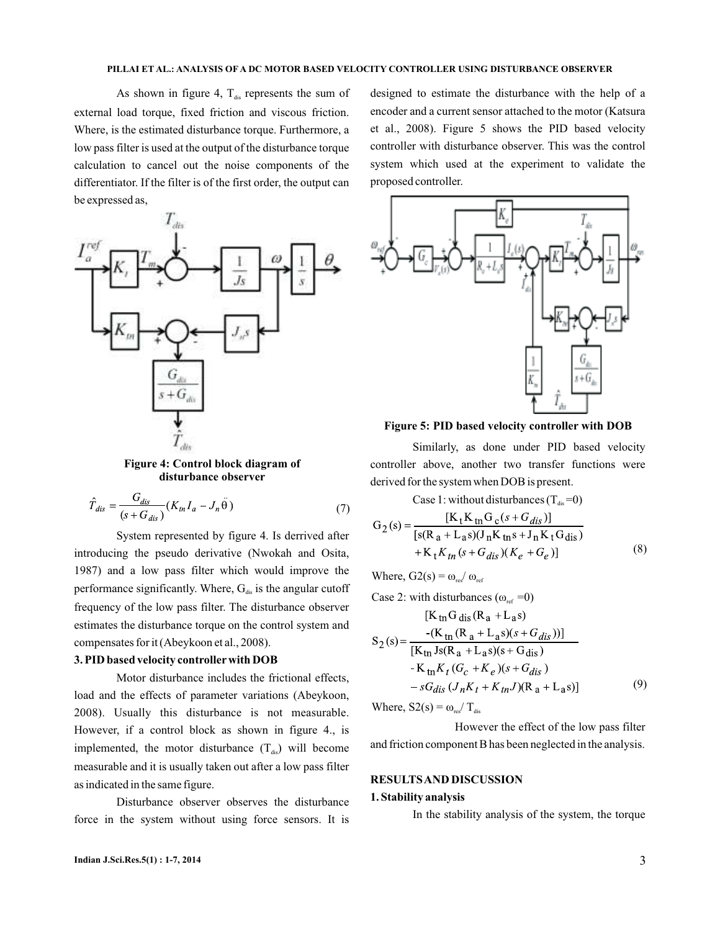As shown in figure 4,  $T_{dis}$  represents the sum of external load torque, fixed friction and viscous friction. Where, is the estimated disturbance torque. Furthermore, a low pass filter is used at the output of the disturbance torque calculation to cancel out the noise components of the differentiator. If the filter is of the first order, the output can be expressed as,



**Figure 4: Control block diagram of disturbance observer**

$$
\hat{T}_{dis} = \frac{G_{dis}}{(s + G_{dis})} (K_m I_a - J_n \ddot{\theta})
$$
\n(7)

System represented by figure 4. Is derrived after introducing the pseudo derivative (Nwokah and Osita, 1987) and a low pass filter which would improve the performance significantly. Where,  $G_{\text{dis}}$  is the angular cutoff frequency of the low pass filter. The disturbance observer estimates the disturbance torque on the control system and compensates for it (Abeykoon et al., 2008).

## **3. PID based velocity controller with DOB**

Motor disturbance includes the frictional effects, load and the effects of parameter variations (Abeykoon, 2008). Usually this disturbance is not measurable. However, if a control block as shown in figure 4., is implemented, the motor disturbance  $(T_{dis})$  will become measurable and it is usually taken out after a low pass filter as indicated in the same figure.

Disturbance observer observes the disturbance force in the system without using force sensors. It is

designed to estimate the disturbance with the help of a encoder and a current sensor attached to the motor (Katsura et al., 2008). Figure 5 shows the PID based velocity controller with disturbance observer. This was the control system which used at the experiment to validate the proposed controller.



**Figure 5: PID based velocity controller with DOB**

Similarly, as done under PID based velocity controller above, another two transfer functions were derived for the system when DOB is present.

Case 1: without disturbances  $(T_{dis}=0)$ 

$$
G_2(s) = \frac{[K_t K_{tn} G_c(s + G_{dis})]}{[s(R_a + L_a s)(J_n K_{tn} s + J_n K_t G_{dis}) + K_t K_{tn} (s + G_{dis}) (K_e + G_e)]}
$$
(8)

Where,  $G2(s) = \omega_{\text{res}}/\omega_{\text{ref}}$ 

Case 2: with disturbances ( $\omega_{ref} = 0$ )

$$
[K_{\text{tn}}G_{\text{dis}}(R_{\text{a}} + L_{\text{a}}s)
$$
  
\n
$$
S_2(s) = \frac{-(K_{\text{tn}}(R_{\text{a}} + L_{\text{a}}s)(s + G_{\text{dis}}))]}{[K_{\text{tn}}Js(R_{\text{a}} + L_{\text{a}}s)(s + G_{\text{dis}}) - K_{\text{tn}}K_t(G_c + K_e)(s + G_{\text{dis}}) - sG_{\text{dis}}(J_nK_t + K_{\text{tn}}J)(R_{\text{a}} + L_{\text{a}}s)]}
$$
\n(9)

Where,  $S_2(s) = \omega_{\text{res}} / T_{\text{dis}}$ 

However the effect of the low pass filter and friction component B has been neglected in the analysis.

#### **RESULTSAND DISCUSSION**

#### **1. Stability analysis**

In the stability analysis of the system, the torque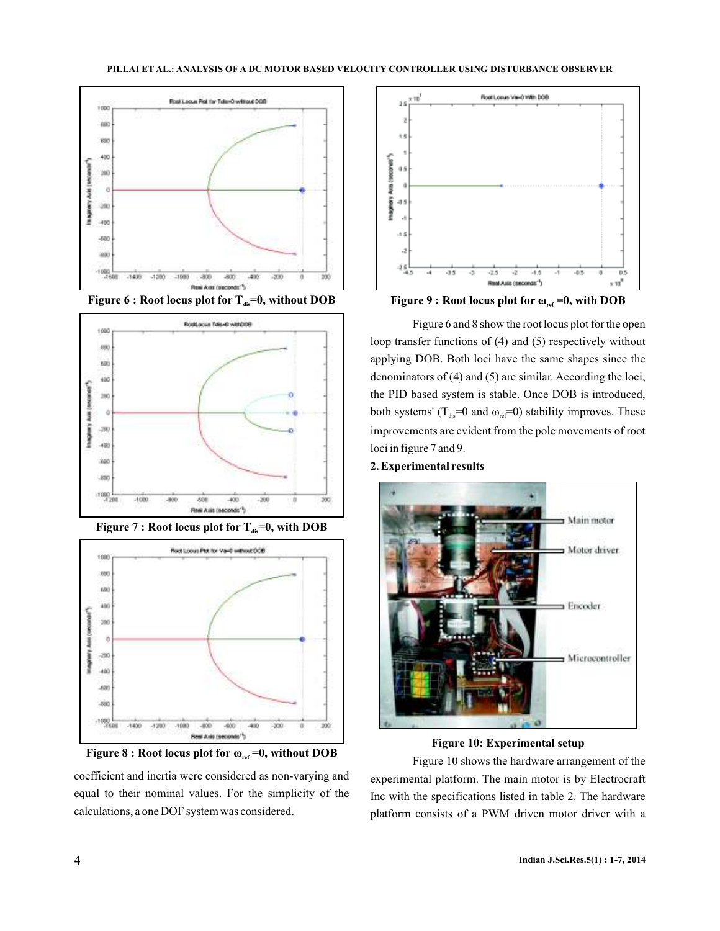





**Figure 7 : Root locus plot for**  $T_{dis}=0$ **, with DOB** 



coefficient and inertia were considered as non-varying and equal to their nominal values. For the simplicity of the calculations, a one DOF system was considered.





Figure 6 and 8 show the root locus plot for the open loop transfer functions of (4) and (5) respectively without applying DOB. Both loci have the same shapes since the denominators of (4) and (5) are similar. According the loci, the PID based system is stable. Once DOB is introduced, both systems' ( $T_{dis} = 0$  and  $\omega_{ref} = 0$ ) stability improves. These improvements are evident from the pole movements of root loci in figure 7 and 9.

## **2. Experimental results**



**Figure 10: Experimental setup**

**Figure 8 : Root locus plot for**  $\omega_{ref} = 0$ **, without DOB Eigure 10 shows the hardware arrangement of the** experimental platform. The main motor is by Electrocraft Inc with the specifications listed in table 2. The hardware platform consists of a PWM driven motor driver with a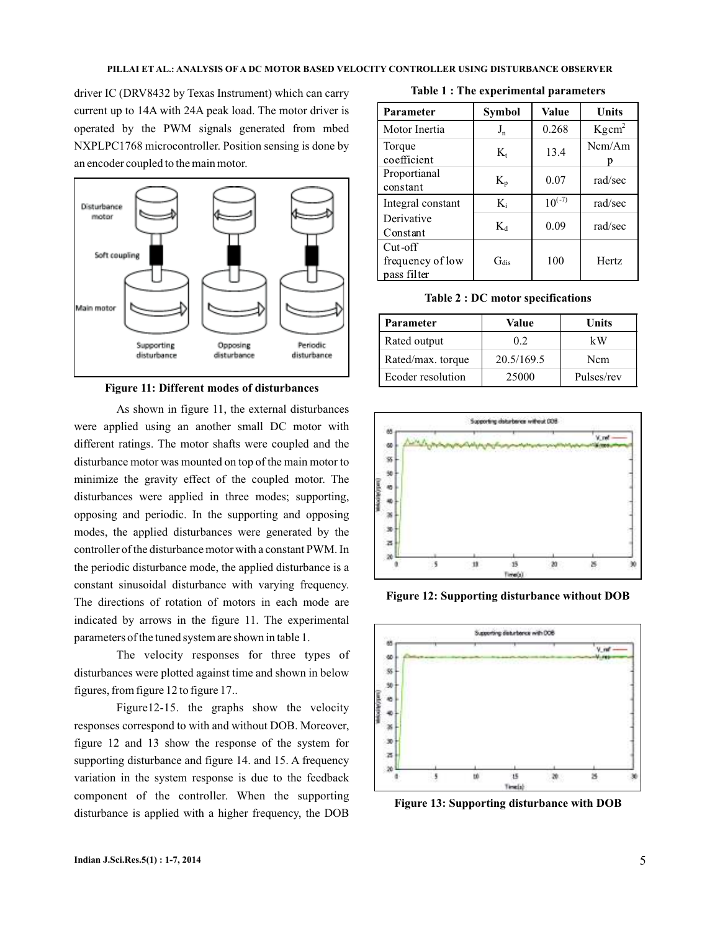driver IC (DRV8432 by Texas Instrument) which can carry current up to 14A with 24A peak load. The motor driver is operated by the PWM signals generated from mbed NXPLPC1768 microcontroller. Position sensing is done by an encoder coupled to the main motor.



**Figure 11: Different modes of disturbances**

As shown in figure 11, the external disturbances were applied using an another small DC motor with different ratings. The motor shafts were coupled and the disturbance motor was mounted on top of the main motor to minimize the gravity effect of the coupled motor. The disturbances were applied in three modes; supporting, opposing and periodic. In the supporting and opposing modes, the applied disturbances were generated by the controller of the disturbance motor with a constant PWM. In the periodic disturbance mode, the applied disturbance is a constant sinusoidal disturbance with varying frequency. The directions of rotation of motors in each mode are indicated by arrows in the figure 11. The experimental parameters of the tuned system are shown in table 1.

The velocity responses for three types of disturbances were plotted against time and shown in below figures, from figure 12 to figure 17..

Figure12-15. the graphs show the velocity responses correspond to with and without DOB. Moreover, figure 12 and 13 show the response of the system for supporting disturbance and figure 14. and 15. A frequency variation in the system response is due to the feedback component of the controller. When the supporting disturbance is applied with a higher frequency, the DOB

**Table 1 : The experimental parameters**

| Parameter                                     | Symbol             | Value       | Units             |
|-----------------------------------------------|--------------------|-------------|-------------------|
| Motor Inertia                                 | $J_{n}$            | 0.268       | Kgcm <sup>2</sup> |
| Torque<br>coefficient                         | $K_{t}$            | 13.4        | Ncm/Am            |
| Proportianal<br>constant                      | $K_{\mathfrak{p}}$ | 0.07        | rad/sec           |
| Integral constant                             | $K_i$              | $10^{(-7)}$ | rad/sec           |
| Derivative<br>Constant                        | $K_d$              | 0.09        | rad/sec           |
| $Cut$ -off<br>frequency of low<br>pass filter | $\rm Ga$           | 100         | <b>Hertz</b>      |

**Table 2 : DC motor specifications**

| Parameter         | Value      | Units      |
|-------------------|------------|------------|
| Rated output      | 0.2        | kW         |
| Rated/max. torque | 20.5/169.5 | Ncm        |
| Ecoder resolution | 25000      | Pulses/rev |



**Figure 12: Supporting disturbance without DOB**



**Figure 13: Supporting disturbance with DOB**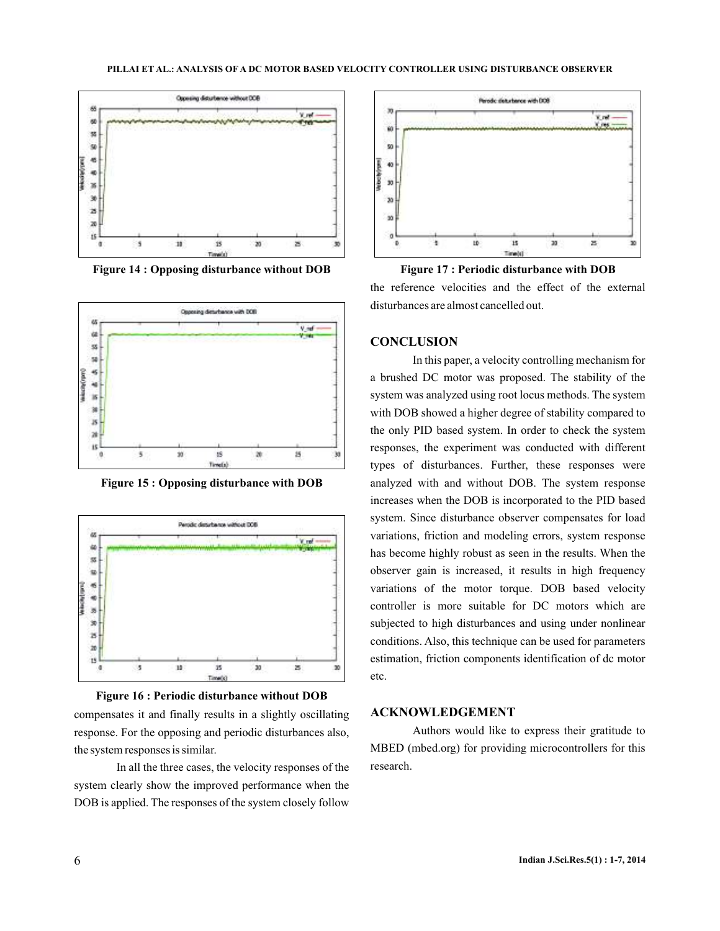

**Figure 14 : Opposing disturbance without DOB Figure 17 : Periodic disturbance with DOB**



**Figure 15 : Opposing disturbance with DOB**



**Figure 16 : Periodic disturbance without DOB**

compensates it and finally results in a slightly oscillating **ACKNOWLEDGEMENT** response. For the opposing and periodic disturbances also, the system responses is similar.

In all the three cases, the velocity responses of the system clearly show the improved performance when the DOB is applied. The responses of the system closely follow



the reference velocities and the effect of the external disturbances are almost cancelled out.

#### **CONCLUSION**

In this paper, a velocity controlling mechanism for a brushed DC motor was proposed. The stability of the system was analyzed using root locus methods. The system with DOB showed a higher degree of stability compared to the only PID based system. In order to check the system responses, the experiment was conducted with different types of disturbances. Further, these responses were analyzed with and without DOB. The system response increases when the DOB is incorporated to the PID based system. Since disturbance observer compensates for load variations, friction and modeling errors, system response has become highly robust as seen in the results. When the observer gain is increased, it results in high frequency variations of the motor torque. DOB based velocity controller is more suitable for DC motors which are subjected to high disturbances and using under nonlinear conditions. Also, this technique can be used for parameters estimation, friction components identification of dc motor etc.

Authors would like to express their gratitude to MBED (mbed.org) for providing microcontrollers for this research.